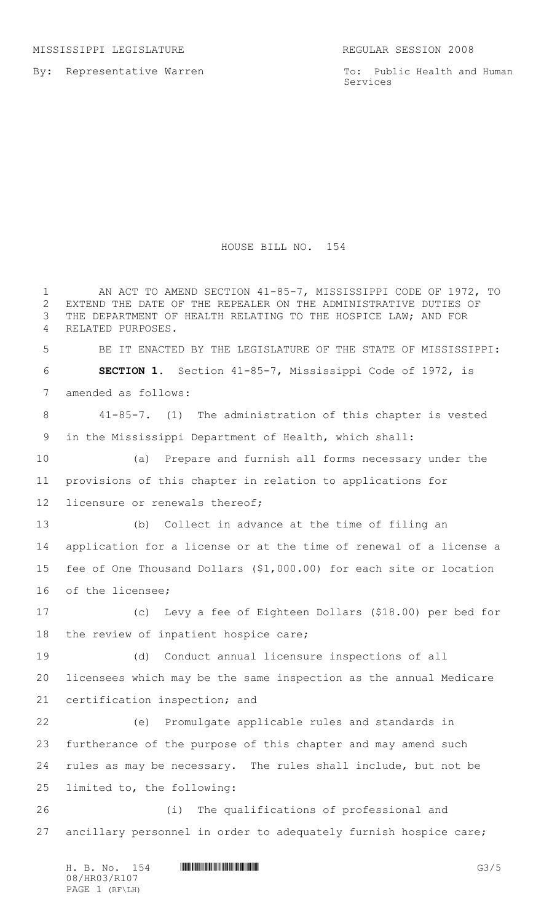By: Representative Warren

To: Public Health and Human Services

## HOUSE BILL NO. 154

 AN ACT TO AMEND SECTION 41-85-7, MISSISSIPPI CODE OF 1972, TO EXTEND THE DATE OF THE REPEALER ON THE ADMINISTRATIVE DUTIES OF THE DEPARTMENT OF HEALTH RELATING TO THE HOSPICE LAW; AND FOR RELATED PURPOSES. BE IT ENACTED BY THE LEGISLATURE OF THE STATE OF MISSISSIPPI: **SECTION 1.** Section 41-85-7, Mississippi Code of 1972, is amended as follows: 41-85-7. (1) The administration of this chapter is vested in the Mississippi Department of Health, which shall: (a) Prepare and furnish all forms necessary under the provisions of this chapter in relation to applications for 12 licensure or renewals thereof; (b) Collect in advance at the time of filing an application for a license or at the time of renewal of a license a fee of One Thousand Dollars (\$1,000.00) for each site or location of the licensee; (c) Levy a fee of Eighteen Dollars (\$18.00) per bed for the review of inpatient hospice care; (d) Conduct annual licensure inspections of all licensees which may be the same inspection as the annual Medicare certification inspection; and (e) Promulgate applicable rules and standards in furtherance of the purpose of this chapter and may amend such rules as may be necessary. The rules shall include, but not be limited to, the following: (i) The qualifications of professional and ancillary personnel in order to adequately furnish hospice care;

H. B. No. 154 **HROBIT COMMUNISION COMPUTER** G3/5 08/HR03/R107 PAGE 1 (RF\LH)